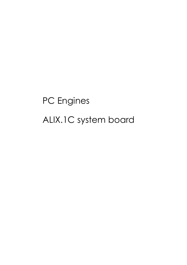# PC Engines ALIX.1C system board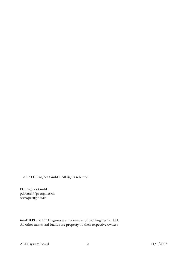2007 PC Engines GmbH. All rights reserved.

PC Engines GmbH pdornier@pcengines.ch www.pcengines.ch

tinyBIOS and PC Engines are trademarks of PC Engines GmbH. All other marks and brands are property of their respective owners.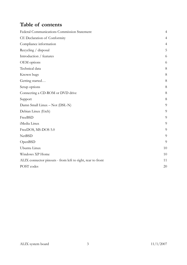# Table of contents

| Federal Communications Commission Statement                | $\overline{4}$ |
|------------------------------------------------------------|----------------|
| CE Declaration of Conformity                               | $\overline{4}$ |
| Compliance information                                     | $\overline{4}$ |
| Recycling / disposal                                       | 5              |
| Introduction / features                                    | 6              |
| OEM options                                                | 6              |
| Technical data                                             | 8              |
| Known bugs                                                 | 8              |
| Getting started                                            | 8              |
| Setup options                                              | 8              |
| Connecting a CD-ROM or DVD drive                           | 8              |
| Support                                                    | 8              |
| Damn Small Linux - Not (DSL-N)                             | 9              |
| Debian Linux (Etch)                                        | 9              |
| FreeBSD                                                    | 9              |
| iMedia Linux                                               | 9              |
| FreeDOS, MS-DOS 5.0                                        | 9              |
| <b>NetBSD</b>                                              | 9              |
| OpenBSD                                                    | 9              |
| Ubuntu Linux                                               | 10             |
| Windows XP Home                                            | 10             |
| ALIX connector pinouts - from left to right, rear to front | 11             |
| POST codes                                                 | 20             |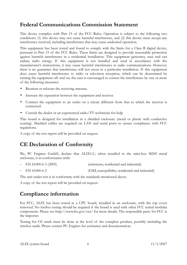### Federal Communications Commission Statement

This device complies with Part 15 of the FCC Rules. Operation is subject to the following two conditions: (1) this device may not cause harmful interference, and (2) this device must accept any interference received, including interference that may cause undesired operation.

This equipment has been tested and found to comply with the limits for a Class B digital device, pursuant to Part 15 of the FCC Rules. These limits are designed to provide reasonable protection against harmful interference in a residential installation. This equipment generates, uses and can radiate radio energy. If this equipment is not installed and used in accordance with the manufacturer's instructions, it may cause harmful interference to radio communications. However, there is no guarantee that interference will not occur in a particular installation. If this equipment does cause harmful interference to radio or television reception, which can be determined by turning the equipment off and on, the user is encouraged to correct the interference by one or more of the following measures:

- Reorient or relocate the receiving antenna.
- Increase the separation between the equipment and receiver.
- Connect the equipment to an outlet on a circuit different from that to which the receiver is connected.
- Consult the dealer or an experienced radio/TV technician for help.

This board is designed for installation in a shielded enclosure (metal or plastic with conductive coating). Shielded cables are required on LAN and serial ports to assure compliance with FCC regulations.

A copy of the test report will be provided on request.

### CE Declaration of Conformity

We, PC Engines GmbH, declare that ALIX1.C, when installed in the mini-box M200 metal enclosure, is in conformance with:

- EN 61000-6-3 (2005) (emissions, residential and industrial)
- EN 61000-6-2 (ESD, susceptibility, residential and industrial)

The unit under test is in conformity with the standards mentioned above.

A copy of the test report will be provided on request.

### Compliance information

For FCC, ALIX has been tested as a CPU board, installed in an enclosure, with the top cover removed. No further testing should be required if the board is used with other FCC tested modular components. Please see http://www.fcc.gov/oet/ for more details. The responsible party for FCC is the importer.

Testing for CE mark must be done at the level of the complete product, possibly including the wireless cards. Please contact PC Engines for assistance and documentation.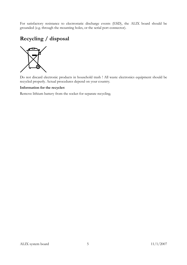For satisfactory resistance to electrostatic discharge events (ESD), the ALIX board should be grounded (e.g. through the mounting holes, or the serial port connector).

# Recycling / disposal



Do not discard electronic products in household trash ! All waste electronics equipment should be recycled properly. Actual procedures depend on your country.

#### Information for the recycler:

Remove lithium battery from the socket for separate recycling.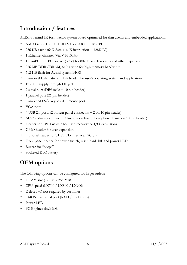# Introduction / features

ALIX is a miniITX form factor system board optimized for thin clients and embedded applications.

- AMD Geode LX CPU, 500 MHz (LX800) 5x86 CPU,
- 256 KB cache (64K data + 64K instruction + 128K L2)
- 1 Ethernet channel (Via VT6105M)
- 1 miniPCI + 1 PCI socket  $(3.3V)$  for 802.11 wireless cards and other expansion
- 256 MB DDR SDRAM, 64 bit wide for high memory bandwidth
- 512 KB flash for Award system BIOS.
- CompactFlash + 44 pin IDE header for user's operating system and application
- 12V DC supply through DC jack
- 2 serial port (DB9 male  $+$  10 pin header)
- 1 parallel port (26 pin header)
- Combined PS/2 keyboard + mouse port
- VGA port
- 4 USB 2.0 ports (2 on rear panel connector  $+ 2$  on 10 pin header)
- AC97 audio codec (line in / line out on board, headphone + mic on 10 pin header)
- Header for LPC bus (use for flash recovery or I/O expansion)
- GPIO header for user expansion
- Optional header for TFT LCD interface, I2C bus
- Front panel header for power switch, reset, hard disk and power LED
- Buzzer for "beeps"
- Socketed RTC battery

# OEM options

The following options can be configured for larger orders:

- DRAM size (128 MB, 256 MB)
- CPU speed  $(LX700 / LX800 / LX900)$
- Delete I/O not required by customer
- CMOS level serial port (RXD / TXD only)
- Power LED
- PC Engines tinyBIOS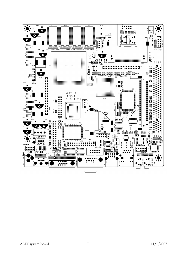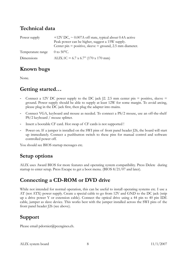### Technical data

| Power supply      | +12V DC, $\sim$ 0.007A off state, typical about 0.4A active<br>Peak power can be higher, suggest a 15W supply.<br>Center $pin = positive$ , sleeve = ground, 2.5 mm diameter. |
|-------------------|-------------------------------------------------------------------------------------------------------------------------------------------------------------------------------|
| Temperature range | 0 to $50^{\circ}$ C.                                                                                                                                                          |
| Dimensions        | ALIX.1C = 6.7 x 6.7" (170 x 170 mm)                                                                                                                                           |

### Known bugs

None.

### Getting started…

- Connect a 12V DC power supply to the DC jack J2. 2.5 mm center pin = positive, sleeve = ground. Power supply should be able to supply at least 12W for some margin. To avoid arcing, please plug in the DC jack first, then plug the adapter into mains.
- Connect VGA, keyboard and mouse as needed. To connect a PS/2 mouse, use an off-the-shelf PS/2 keyboard / mouse splitter.
- Insert a bootable CF card. Hot swap of CF cards is not supported !
- Power on. If a jumper is installed on the SWI pins of front panel header [26, the board will start up immediately. Connect a pushbutton switch to these pins for manual control and software controlled power off.

You should see BIOS startup messages etc.

### Setup options

ALIX uses Award BIOS for more features and operating system compatibility. Press Delete during startup to enter setup. Press Escape to get a boot menu. (BIOS 8/21/07 and later).

### Connecting a CD-ROM or DVD drive

While not intended for normal operation, this can be useful to install operating systems etc. I use a AT (not ATX) power supply. Create a special cable to go from 12V and GND to the DC jack (snip up a drive power Y or extension cable). Connect the optical drive using a 44 pin to 40 pin IDE cable, jumper as slave device. This works best with the jumper installed across the SWI pins of the front panel header J26 (see above).

# Support

Please email pdornier@pcengines.ch.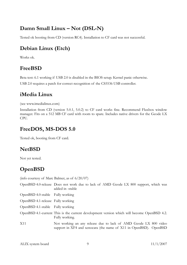# Damn Small Linux – Not (DSL-N)

Tested ok booting from CD (version RC4). Installation to CF card was not successful.

# Debian Linux (Etch)

Works ok.

### FreeBSD

Beta test: 6.1 working if USB 2.0 is disabled in the BIOS setup. Kernel panic otherwise.

USB 2.0 requires a patch for correct recognition of the CS5536 USB controller.

### iMedia Linux

(see www.imedialinux.com)

Installation from CD (version 5.0.1, 5.0.2) to CF card works fine. Recommend Fluxbox window manager. Fits on a 512 MB CF card with room to spare. Includes native drivers for the Geode LX CPU.

### FreeDOS, MS-DOS 5.0

Tested ok, booting from CF card.

# NetBSD

Not yet tested.

# OpenBSD

(info courtesy of Marc Balmer, as of 6/20/07)

|                                   | OpenBSD 4.0-release Does not work due to lack of AMD Geode LX 800 support, which was<br>added in -stable                              |
|-----------------------------------|---------------------------------------------------------------------------------------------------------------------------------------|
| OpenBSD 4.0-stable Fully working  |                                                                                                                                       |
| OpenBSD 4.1-release Fully working |                                                                                                                                       |
| OpenBSD 4.1-stable Fully working  |                                                                                                                                       |
|                                   | OpenBSD 4.1-current This is the current development version which will become OpenBSD 4.2.<br>Fully working.                          |
| X11                               | Not working an any release due to lack of AMD Geode LX 800 video<br>support in XF4 and xenocara (the name of X11 in OpenBSD). OpenBSD |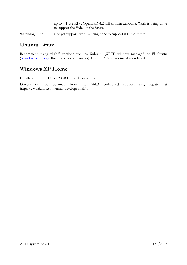up to 4.1 use XF4, OpenBSD 4.2 will contain xenocara. Work is being done to support the Video in the future.

Watchdog Timer Not yet support, work is being done to support it in the future.

### Ubuntu Linux

Recommend using "light" versions such as Xubuntu (XFCE window manager) or Fluxbuntu (www.fluxbuntu.org, fluxbox window manager). Ubuntu 7.04 server installation failed.

### Windows XP Home

Installation from CD to a 2 GB CF card worked ok.

Drivers can be obtained from the AMD embedded support site, register at http://wwwd.amd.com/amd/developer.nsf/ .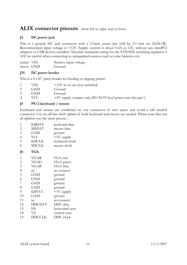### ALIX connector pinouts - from left to right, rear to front

#### J2 DC power jack

This is a generic DC jack connector with a 2.1mm center pin (will be 2.5 mm on ALIX.1B). Recommended input voltage is +12V. Supply current is about 0.4A at 12V, without any miniPCI adapters or USB devices installed. Absolute maximum rating for the FAN5026 switching regulator is 16V, be careful when connecting to unregulated sources such as solar batteries etc.

| center VIN | Positive input voltage |
|------------|------------------------|
| sleeve GND | Ground                 |

#### J15 DC power header

This is a 0.156" pitch header for feeding or tapping power.

| <b>GND</b><br>$\bigcap$ |           | Ground |  |
|-------------------------|-----------|--------|--|
|                         | $\bigcap$ |        |  |

3 GND Ground

4 VCC +5V supply (output only, DO NOT feed power into this pin !)

#### J5 PS/2 keyboard / mouse

Keyboard and mouse are combined on one connector to save space and avoid a tall stacked connector. Use an off-the-shelf splitter if both keyboard and mouse are needed. Please note that not all splitters use the same pinout…

| 1              | <b>KBDAT</b> | keyboard data  |
|----------------|--------------|----------------|
| $\overline{2}$ | <b>MSDAT</b> | mouse data     |
| $\overline{3}$ | <b>GND</b>   | ground         |
| $\overline{4}$ | <b>VCC</b>   | $+5V$ supply   |
| 5              | KBCLK        | keyboard clock |
| 6              | <b>MSCLK</b> | mouse clock    |
| J6             | <b>VGA</b>   |                |
| 1              | VGAR         | VGA red        |
| 2              | <b>VGAG</b>  | VGA green      |
| 3              | <b>VGAB</b>  | VGA blue       |
| $\overline{4}$ | nc           | no connect     |
| 5              | <b>GND</b>   | ground         |
| 6              | <b>GND</b>   | ground         |
| 7              | <b>GND</b>   | ground         |
| 8              | <b>GND</b>   | ground         |
| 9              | KBVCC        | $+5V$ supply   |
|                |              |                |

| 10 | GND           | ground          |
|----|---------------|-----------------|
| 11 | nc            | no connect      |
| 12 | <b>DDCDAT</b> | DDC data        |
| 13 | <b>HS</b>     | horizontal sync |
| 14 | VS            | vertical sync   |
| 15 | <b>DDCCLK</b> | DDC clock       |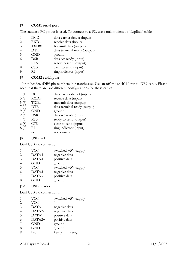#### J7 COM1 serial port

The standard PC pinout is used. To connect to a PC, use a null modem or "Laplink" cable.

- 1 DCD data carrier detect (input)
- 2 RXD# receive data (input)
- 3 TXD# transmit data (output)
- 4 DTR data terminal ready (output)<br>5 GND ground
- GND ground
- 6 DSR data set ready (input)
- 7 RTS ready to send (output)
- 8 CTS clear to send (input)<br>9 RI ring indicator (input)
- RI ring indicator (input)

#### J9 COM2 serial port

10 pin header. (DB9 pin numbers in parantheses). Use an off-the-shelf 10 pin to DB9 cable. Please note that there are two different configurations for these cables…

- 1 (1) DCD data carrier detect (input)<br>3 (2) RXD# receive data (input)
- 3 (2) RXD# receive data (input)
- 5 (3) TXD# transmit data (output)
- 7 (4) DTR data terminal ready (output)
- 9 (5) GND ground
- 2 (6) DSR data set ready (input)
- 4 (7) RTS ready to send (output)
- 6 (8) CTS clear to send (input)
- 8 (9) RI ring indicator (input)
- 10 nc no connect

#### J8 USB jack

Dual USB 2.0 connections:

| $\mathbf{1}$   | <b>VCC</b> | switched $+5V$ supply |
|----------------|------------|-----------------------|
| $\mathcal{L}$  | DATA4-     | negative data         |
| $\mathcal{E}$  | DATA4+     | positive data         |
| $\overline{4}$ | <b>GND</b> | ground                |
| 5              | <b>VCC</b> | switched +5V supply   |
| 6              | DATA3-     | negative data         |
| 7              | DATA3+     | positive data         |
| 8              | <b>GND</b> | ground                |

#### J12 USB header

Dual USB 2.0 connections:

| 1 | <b>VCC</b> | switched $+5V$ supply |
|---|------------|-----------------------|
| 2 | <b>VCC</b> | $\epsilon$            |
| 3 | DATA1-     | negative data         |
|   | DATA2-     | negative data         |
| 5 | $DATA1+$   | positive data         |
| 6 | DATA2+     | positive data         |
|   | <b>GND</b> | ground                |
|   | <b>GND</b> | ground                |
|   | key        | key pin (missing)     |
|   |            |                       |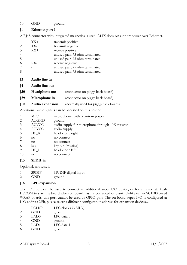10 GND ground

#### J1 Ethernet port 1

A RJ45 connector with integrated magnetics is used. ALIX does not support power over Ethernet.

| $\overline{\mathbf{J}^3}$ | Audio line in |                                |
|---------------------------|---------------|--------------------------------|
| 8                         |               | unused pair, 75 ohm terminated |
|                           |               | unused pair, 75 ohm terminated |
| 6                         | RX-           | receive negative               |
| -5                        |               | unused pair, 75 ohm terminated |
| $\overline{4}$            |               | unused pair, 75 ohm terminated |
| 3                         | $RX+$         | receive positive               |
|                           | TX-           | transmit negative              |
|                           | TX+           | transmit positive              |

J4 Audio line out

| J30 | Headphone out   | (connector on piggy-back board)      |
|-----|-----------------|--------------------------------------|
| 129 | Microphone in   | (connector on piggy-back board)      |
| J10 | Audio expansion | (normally used for piggy-back board) |

Additional audio signals can be accessed on this header.

|                | MIC <sub>1</sub> | microphone, with phantom power                   |
|----------------|------------------|--------------------------------------------------|
| 2              | <b>AUGND</b>     | ground                                           |
| 3              | <b>AUVCC</b>     | audio supply for microphone through 10K resistor |
| $\overline{4}$ | <b>AUVCC</b>     | audio supply                                     |
| -5             | HP R             | headphone right                                  |
| 6              | nc               | no connect                                       |
|                | nc               | no connect                                       |
| 8              | key              | key pin (missing)                                |
| 9              | $HP_L$           | headphone left                                   |
| 10             | nc               | no connect                                       |
|                |                  |                                                  |

#### J13 SPDIF in

Optional, not tested.

|   | <b>SPDIE</b> | SP/DIF digital input |
|---|--------------|----------------------|
| ി | GND          | ground               |

#### J16 LPC expansion

The LPC port can be used to connect an additional super I/O device, or for an alternate flash EPROM to start the board when on board flash is corrupted or blank. Unlike earlier SC1100 based WRAP boards, this port cannot be used as GPIO pins. The on-board super I/O is configured at I/O address 2Eh, please select a different configuration address for expansion devices…

- 1 LCLK0 LPC clock (33 MHz)
- 2 GND ground
- 3 LAD0 LPC data 0
- 4 GND ground
- 5 LAD1 LPC data 1
- 6 GND ground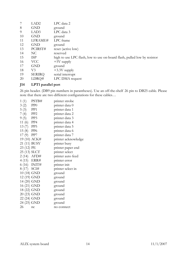|    | LAD <sub>2</sub> | LPC data 2                                                               |
|----|------------------|--------------------------------------------------------------------------|
| 8  | <b>GND</b>       | ground                                                                   |
| 9  | LAD3             | LPC data 3                                                               |
| 10 | <b>GND</b>       | ground                                                                   |
| 11 | LFRAME#          | LPC frame                                                                |
| 12 | <b>GND</b>       | ground                                                                   |
| 13 | PCIRST#          | reset (active low)                                                       |
| 14 | NC.              | reserved                                                                 |
| 15 | <b>ISP</b>       | high to use LPC flash, low to use on-board flash, pulled low by resistor |
| 16 | <b>VCC</b>       | $+5V$ supply                                                             |
| 17 | <b>GND</b>       | ground                                                                   |
| 18 | V <sub>3</sub>   | $+3.3V$ supply                                                           |
| 19 | <b>SERIRQ</b>    | serial interrupt                                                         |
| 20 | LDRO#            | LPC DMA request                                                          |
|    |                  |                                                                          |

#### J14 LPT1 parallel port

26 pin header. (DB9 pin numbers in parantheses). Use an off-the-shelf 26 pin to DB25 cable. Please note that there are two different configurations for these cables…

| 1(1)         | PSTB#          | printer strobe      |
|--------------|----------------|---------------------|
| $3(2)$ PPO   |                | printer data 0      |
| 5 (3) PP1    |                | printer data 1      |
| 7 (4) PP2    |                | printer data 2      |
| 9 (5) PP3    |                | printer data 3      |
| 11 (6) PP4   |                | printer data 4      |
| 13(7) PP5    |                | printer data 5      |
| 15 (8) PP6   |                | printer data 6      |
| 17 (9) PP7   |                | printer data 7      |
|              | 19 (10) ACK#   | printer acknowledge |
| 21 (11) BUSY |                | printer busy        |
| 23 (12) PE   |                | printer paper end   |
| 25 (13) SLCT |                | printer select      |
| 2 (14) AFD#  |                | printer auto feed   |
| 4 (15) ERR#  |                | printer error       |
|              | 6 $(16)$ INIT# | printer init        |
| 8 (17) SCI#  |                | printer select in   |
| 10 (18) GND  |                | ground              |
| 12 (19) GND  |                | ground              |
| 14 (20) GND  |                | ground              |
| 16 (21) GND  |                | ground              |
| 18 (22) GND  |                | ground              |
| 20 (23) GND  |                | ground              |
| 22 (24) GND  |                | ground              |
| 24 (25) GND  |                | ground              |
| 26           | nc             | no connect          |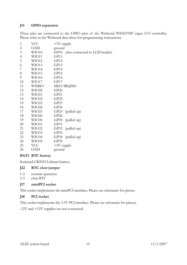#### J11 GPIO expansion

These pins are connected to the GPIO pins of the Winbond W83627HF super I/O controller. Please refer to the Winbond data sheet for programming instructions.

| $\mathbf{1}$   | <b>VCC</b>   | $+5V$ supply                           |
|----------------|--------------|----------------------------------------|
| $\mathbf{2}$   | GND          | ground                                 |
| 3              | WIO10        | GPI0<br>(also connected to LCD header) |
| $\overline{4}$ | WIO11        | GP11                                   |
| 5              | WIO12        | GP12                                   |
| 6              | WIO13        | GP13                                   |
| 7              | WIO14        | GP14                                   |
| 8              | WIO15        | GP15                                   |
| 9              | WIO16        | GP16                                   |
| 10             | WIO17        | GP17                                   |
| 11             | <b>WIMSO</b> | MSO/IRQIN0                             |
| 12             | WIO20        | GP20                                   |
| 13             | WIO21        | GP21                                   |
| 14             | WIO22        | GP22                                   |
| 15             | WIO23        | GP23                                   |
| 16             | WIO24        | GP24                                   |
| 17             | WIO25        | GP25<br>(pulled up)                    |
| 18             | WIO26        | GP <sub>26</sub>                       |
| 19             | WIO30        | GP30 (pulled up)                       |
| 20             | WIO31        | GP31                                   |
| 21             | WIO32        | GP32 (pulled up)                       |
| 22             | WIO33        | GP33                                   |
| 23             | WIO34        | GP34 (pulled up)                       |
| 24             | WIO35        | GP35                                   |
| 25             | <b>VCC</b>   | $+5V$ supply                           |
| 26             | GND          | ground                                 |
|                |              |                                        |

#### BAT1 RTC battery

Socketed CR2032 Lithium battery.

#### J22 RTC clear jumper

- 1-2 normal operation<br>2-3 clear RTC
- clear RTC

#### J17 miniPCI socket

This socket implements the miniPCI interface. Please see schematic for pinout.

#### J18 PCI socket

This socket implements the 3.3V PCI interface. Please see schematic for pinout.

-12V and +12V supplies are not connected.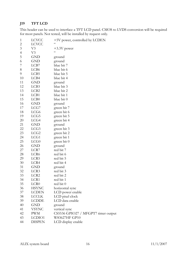#### J19 TFT LCD

This header can be used to interface a TFT LCD panel. CMOS to LVDS conversion will be required for most panels. Not tested, will be installed by request only.

| 1              | <b>LCVCC</b>     | +5V power, controlled by LCDEN      |
|----------------|------------------|-------------------------------------|
| $\overline{c}$ | <b>LCVCC</b>     | $\epsilon$                          |
| 3              | V <sub>3</sub>   | $+3.3V$ power                       |
| $\overline{4}$ | V3               | $\zeta\,\zeta$                      |
| 5              | <b>GND</b>       | ground                              |
| 6              | <b>GND</b>       | ground                              |
| 7              | LCB7             | blue bit 7                          |
| 8              | LCB <sub>6</sub> | blue bit 6                          |
| 9              | LCB <sub>5</sub> | blue bit 5                          |
| 10             | LCB4             | blue bit 4                          |
| 11             | <b>GND</b>       | ground                              |
| 12             | LCB3             | blue bit 3                          |
| 13             | LCB <sub>2</sub> | blue bit 2                          |
| 14             | LCB1             | blue bit 1                          |
| 15             | LCB <sub>0</sub> | blue bit 0                          |
| 16             | <b>GND</b>       | ground                              |
| 17             | LCG7             | green bit 7                         |
| 18             | LCG <sub>6</sub> | green bit 6                         |
| 19             | LCG5             | green bit 5                         |
| 20             | LCG4             | green bit 4                         |
| 21             | <b>GND</b>       | ground                              |
| 22             | LCG3             | green bit 3                         |
| 23             | LCG <sub>2</sub> | green bit 2                         |
| 24             | LCG1             | green bit 1                         |
| 25             | LCG <sub>0</sub> | green bit 0                         |
| 26             | GND              | ground                              |
| 27             | LCR7             | red bit 7                           |
| 28             | LCR <sub>6</sub> | red bit 6                           |
| 29             | LCR5             | red bit 5                           |
| 30             | LCR4             | red bit 4                           |
| 31             | GND              | ground                              |
| 32             | LCR <sub>3</sub> | red bit 3                           |
| 33             | LCR <sub>2</sub> | red bit 2                           |
| 34             | LCR1             | red bit 1                           |
| 35             | LCR <sub>0</sub> | red bit 0                           |
| 36             | <b>HSYNC</b>     | horizontal sync                     |
| 37             | <b>LCDEN</b>     | LCD power enable                    |
| 38             | <b>LCCLK</b>     | LCD pixel clock                     |
| 39             | <b>LCDDE</b>     | LCD data enable                     |
| 40             | GND              | ground                              |
| 41             | <b>VSYNC</b>     | vertical sync                       |
| 42             | <b>PWM</b>       | CS5536 GPIO27 / MFGPT7 timer output |
| 43             | LCDIO1           | W83627HF GP10                       |
| 44             | <b>DISPEN</b>    | LCD display enable                  |
|                |                  |                                     |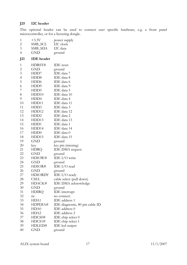#### J25 I2C header

This optional header can be used to connect user specific hardware, e.g. a front panel microcontroller, or for a licensing dongle.

| $\mathbf{1}$<br>$\overline{c}$<br>3 | $+3.3V$<br>SMB_SCL<br>SMB_SDA   | power supply<br>I2C clock<br>I2C data |
|-------------------------------------|---------------------------------|---------------------------------------|
| $\overline{4}$<br>J21               | <b>GND</b><br><b>IDE</b> header | ground                                |
| 1                                   | HDRST#                          | <b>IDE</b> reset                      |
| $\overline{c}$                      | <b>GND</b>                      | ground                                |
| $\overline{3}$                      | HDD7                            | IDE data 7                            |
| $\overline{4}$                      | HDD <sub>8</sub>                | IDE data 8                            |
| 5                                   | HD <sub>D</sub> <sub>6</sub>    | IDE data 6                            |
| 6                                   | HDD <sub>9</sub>                | IDE data 9                            |
| 7                                   | HDD <sub>5</sub>                | IDE data 5                            |
| 8                                   | HDD10                           | IDE data 10                           |
| 9                                   | HDD4                            | IDE data 4                            |
| 10                                  | HDD11                           | IDE data 11                           |
| 11                                  | HDD3                            | IDE data 3                            |
| 12                                  | HDD12                           | IDE data 12                           |
| 13                                  | HDD <sub>2</sub>                | IDE data 2                            |
| 14                                  | HDD13                           | IDE data 13                           |
| 15                                  | HDD1                            | IDE data 1                            |
| 16                                  | HDD14                           | IDE data 14                           |
| 17                                  | HDD <sub>0</sub>                | IDE data 0                            |
| 18                                  | HDD15                           | IDE data 15                           |
| 19                                  | <b>GND</b>                      | ground                                |
| 20                                  | key                             | key pin (missing)                     |
| 21                                  | <b>HDRQ</b>                     | <b>IDE DMA</b> request                |
| 22                                  | <b>GND</b>                      | ground                                |
| 23                                  | HDIOW#                          | IDE I/O write                         |
| 24                                  | <b>GND</b>                      | ground                                |
| 25                                  | HDIOR#                          | IDE I/O read                          |
| 26                                  | <b>GND</b>                      | ground                                |
| 27                                  | <b>HDIORDY</b>                  | IDE $I/O$ ready                       |
| 28                                  | <b>CSEL</b>                     | cable select (pull down)              |
| 29                                  | HDACK#                          | <b>IDE DMA</b> acknowledge            |
| 30                                  | <b>GND</b>                      | ground                                |
| 31                                  | HDIRQ                           | IDE interrupt                         |
| 32                                  | nc                              | no connect                            |
| 33                                  | HDA1                            | IDE address 1                         |
| 34                                  | HDPDIA#                         | IDE diagnostic, 80 pin cable ID       |
| 35                                  | HDA0                            | IDE address 0                         |
| 36                                  | HDA <sub>2</sub>                | IDE address 2                         |
| 37                                  | HDCS0#                          | IDE chip select 0                     |
| 38                                  | HDCS1#                          | IDE chip select 1                     |
| 39                                  | HDLED#                          | IDE led output                        |
| 40                                  | <b>GND</b>                      | ground                                |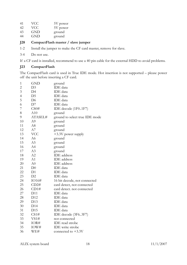| 41 | VCC | 5V power |
|----|-----|----------|
|----|-----|----------|

- 42 VCC 5V power
- 43 GND ground
- 44 GND ground

#### J28 CompactFlash master / slave jumper

1-2 Install the jumper to make the CF card master, remove for slave.

3-4 Do not use.

If a CF card is installed, recommend to use a 40 pin cable for the external HDD to avoid problems.

#### J23 CompactFlash

The CompactFlash card is used in True IDE mode. Hot insertion is not supported – please power off the unit before inserting a CF card.

| $\mathbf{1}$   | <b>GND</b>     | ground                         |
|----------------|----------------|--------------------------------|
| $\overline{c}$ | D3             | IDE data                       |
| 3              | D <sub>4</sub> | IDE data                       |
| $\overline{4}$ | D <sub>5</sub> | <b>IDE</b> data                |
| 5              | D <sub>6</sub> | IDE data                       |
| 6              | D7             | IDE data                       |
| 7              | CS0#           | IDE decode (1F01F7)            |
| 8              | A10            | ground                         |
| 9              | ATASEL#        | ground to select true IDE mode |
| 10             | A <sub>9</sub> | ground                         |
| 11             | A8             | ground                         |
| 12             | A7             | ground                         |
| 13             | <b>VCC</b>     | +3.3V power supply             |
| 14             | A6             | ground                         |
| 15             | A <sub>5</sub> | ground                         |
| 16             | A4             | ground                         |
| 17             | A3             | ground                         |
| 18             | A2             | <b>IDE</b> address             |
| 19             | A1             | <b>IDE</b> address             |
| 20             | A <sub>0</sub> | <b>IDE</b> address             |
| 21             | D <sub>0</sub> | IDE data                       |
| 22             | D <sub>1</sub> | <b>IDE</b> data                |
| 23             | D2             | IDE data                       |
| 24             | IO16#          | 16 bit decode, not connected   |
| 25             | CD2#           | card detect, not connected     |
| 26             | CD1#           | card detect. not connected     |
| 27             | D11            | IDE data                       |
| 28             | D12            | <b>IDE</b> data                |
| 29             | D13            | <b>IDE</b> data                |
| 30             | D14            | <b>IDE</b> data                |
| 31             | D15            | IDE data                       |
| 32             | CS1#           | IDE decode (3F63F7)            |
| 33             | VS1#           | not connected                  |
| 34             | IOR#           | IDE read strobe                |
| 35             | IOW#           | <b>IDE</b> write strobe        |
| 36             | WE#            | connected to $+3.3V$           |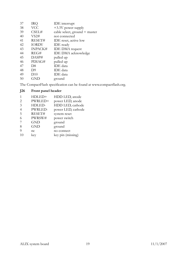| <b>IRO</b>     | IDE interrupt                   |
|----------------|---------------------------------|
| <b>VCC</b>     | $+3.3V$ power supply            |
| CSEL#          | cable select, ground $=$ master |
| VS2#           | not connected                   |
| RESET#         | IDE reset, active low           |
| <b>IORDY</b>   | <b>IDE</b> ready                |
| <b>INPACK#</b> | <b>IDE DMA</b> request          |
| REG#           | <b>IDE DMA</b> acknowledge      |
| DASP#          | pulled up                       |
| PDIAG#         | pulled up                       |
| D8             | <b>IDE</b> data                 |
| D <sup>9</sup> | IDE data                        |
| D10            | IDE data                        |
| GND            | ground                          |
|                |                                 |

The CompactFlash specification can be found at www.compactflash.org.

#### J26 Front panel header

|                             | HDLED+     | HDD LED, anode     |
|-----------------------------|------------|--------------------|
| $\mathcal{D}_{\mathcal{L}}$ | PWRLED+    | power LED, anode   |
| $\mathcal{E}$               | HDLED-     | HDD LED, cathode   |
|                             | PWRLED-    | power LED, cathode |
| 5                           | RESET#     | system reset       |
| 6                           | PWRSW#     | power switch       |
|                             | <b>GND</b> | ground             |
|                             | <b>GND</b> | ground             |
|                             | nc         | no connect         |
| 10                          | key        | key pin (missing)  |
|                             |            |                    |